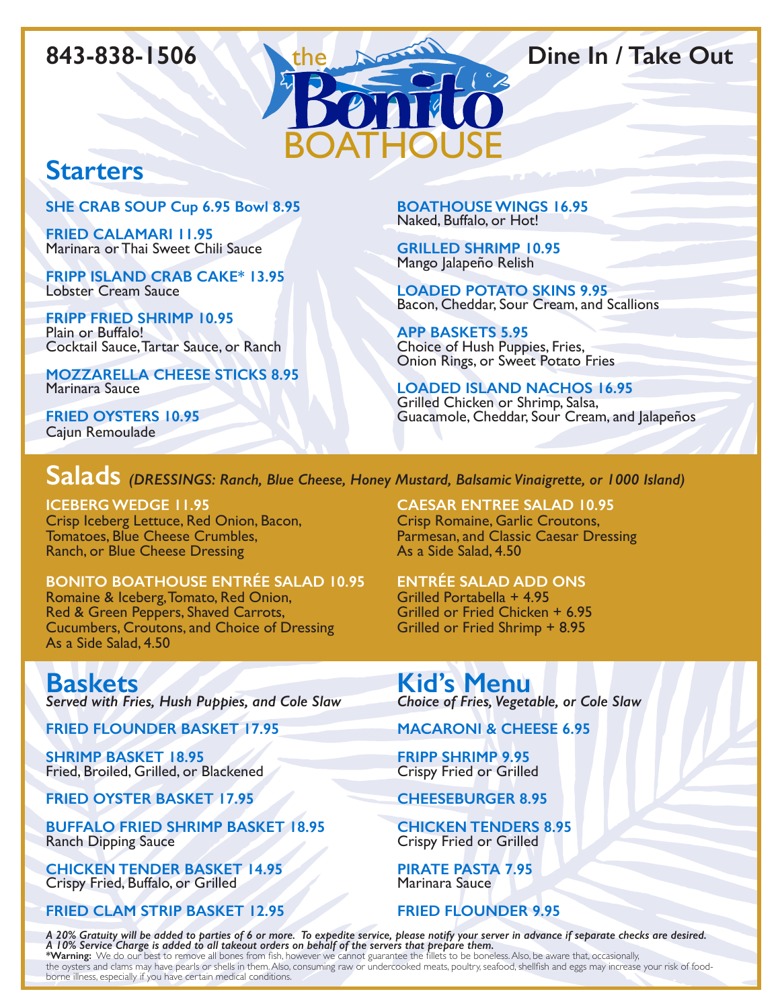

# **Starters**

**SHE CRAB SOUP Cup 6.95 Bowl 8.95**

**FRIED CALAMARI 11.95** Marinara or Thai Sweet Chili Sauce

**FRIPP ISLAND CRAB CAKE\* 13.95** Lobster Cream Sauce

**FRIPP FRIED SHRIMP 10.95** Plain or Buffalo! Cocktail Sauce, Tartar Sauce, or Ranch

**MOZZARELLA CHEESE STICKS 8.95** Marinara Sauce

**FRIED OYSTERS 10.95** Cajun Remoulade

**BOATHOUSE WINGS 16.95** Naked, Buffalo, or Hot!

**GRILLED SHRIMP 10.95** Mango Jalapeño Relish

**LOADED POTATO SKINS 9.95** Bacon, Cheddar, Sour Cream, and Scallions

**APP BASKETS 5.95** Choice of Hush Puppies, Fries, Onion Rings, or Sweet Potato Fries

**LOADED ISLAND NACHOS 16.95** Grilled Chicken or Shrimp, Salsa, Guacamole, Cheddar, Sour Cream, and Jalapeños

# **Salads** *(DRESSINGS: Ranch, Blue Cheese, Honey Mustard, Balsamic Vinaigrette, or 1000 Island)*

**ICEBERG WEDGE 11.95** Crisp Iceberg Lettuce, Red Onion, Bacon, Tomatoes, Blue Cheese Crumbles, Ranch, or Blue Cheese Dressing

**BONITO BOATHOUSE ENTRÉE SALAD 10.95** Romaine & Iceberg, Tomato, Red Onion, Red & Green Peppers, Shaved Carrots, Cucumbers, Croutons, and Choice of Dressing As a Side Salad, 4.50

**Baskets** *Served with Fries, Hush Puppies, and Cole Slaw*

**FRIED FLOUNDER BASKET 17.95**

**SHRIMP BASKET 18.95** Fried, Broiled, Grilled, or Blackened

**FRIED OYSTER BASKET 17.95**

**BUFFALO FRIED SHRIMP BASKET 18.95** Ranch Dipping Sauce

**CHICKEN TENDER BASKET 14.95** Crispy Fried, Buffalo, or Grilled

**FRIED CLAM STRIP BASKET 12.95**

**CAESAR ENTREE SALAD 10.95**  Crisp Romaine, Garlic Croutons, Parmesan, and Classic Caesar Dressing As a Side Salad, 4.50

**ENTRÉE SALAD ADD ONS** Grilled Portabella + 4.95 Grilled or Fried Chicken + 6.95 Grilled or Fried Shrimp + 8.95

**Kid's Menu** *Choice of Fries, Vegetable, or Cole Slaw*

**MACARONI & CHEESE 6.95**

**FRIPP SHRIMP 9.95** Crispy Fried or Grilled

**CHEESEBURGER 8.95**

**CHICKEN TENDERS 8.95** Crispy Fried or Grilled

**PIRATE PASTA 7.95** Marinara Sauce

**FRIED FLOUNDER 9.95**

*A 20% Gratuity will be added to parties of 6 or more. To expedite service, please notify your server in advance if separate checks are desired. A 10% Service Charge is added to all takeout orders on behalf of the servers that prepare them.*

**\*Warning:** We do our best to remove all bones from fish, however we cannot guarantee the fillets to be boneless. Also, be aware that, occasionally, the oysters and clams may have pearls or shells in them. Also, consuming raw or undercooked meats, poultry, seafood, shellfish and eggs may increase your risk of foodborne illness, especially if you have certain medical conditions.